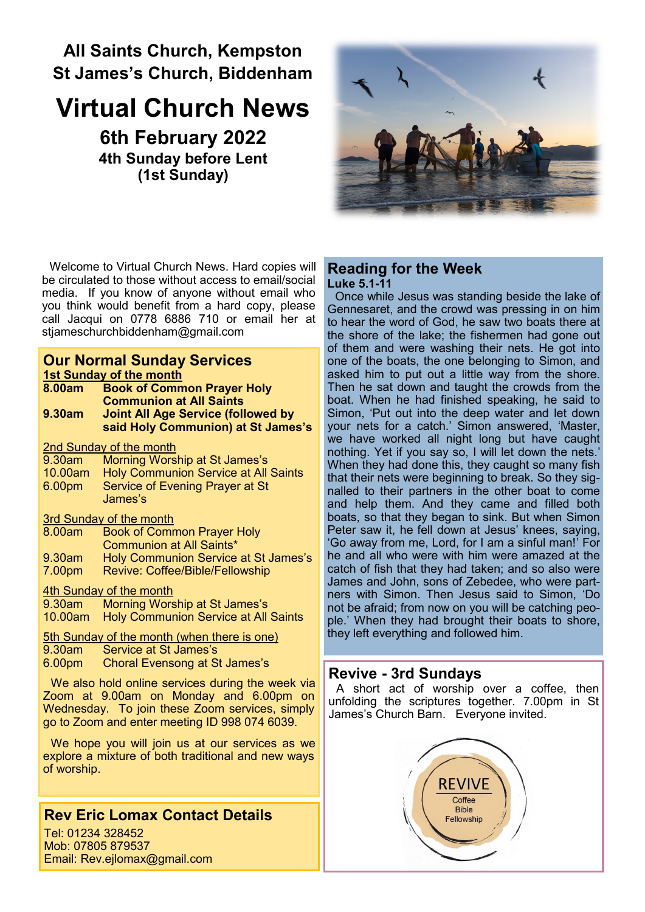# **All Saints Church, Kempston St James's Church, Biddenham**

# **Virtual Church News 6th February 2022**

**4th Sunday before Lent (1st Sunday)**



Welcome to Virtual Church News. Hard copies will be circulated to those without access to email/social media. If you know of anyone without email who you think would benefit from a hard copy, please call Jacqui on 0778 6886 710 or email her at [stjameschurchbiddenham@gmail.com](mailto:Jacqui.piper@btinternet.com) 

#### **Our Normal Sunday Services 1st Sunday of the month**

| <b>18t Sunday of the month</b>                     |                                             |
|----------------------------------------------------|---------------------------------------------|
| 8.00am                                             | <b>Book of Common Prayer Holy</b>           |
|                                                    | <b>Communion at All Saints</b>              |
| 9.30am                                             | <b>Joint All Age Service (followed by</b>   |
|                                                    | said Holy Communion) at St James's          |
| 2nd Sunday of the month                            |                                             |
| 9.30am                                             | Morning Worship at St James's               |
| 10.00am                                            | <b>Holy Communion Service at All Saints</b> |
| 6.00 <sub>pm</sub>                                 | Service of Evening Prayer at St             |
|                                                    | James's                                     |
| 3rd Sunday of the month                            |                                             |
| 8.00am                                             | <b>Book of Common Prayer Holy</b>           |
|                                                    | <b>Communion at All Saints*</b>             |
| 9.30am                                             | Holy Communion Service at St James's        |
| 7.00pm                                             | Revive: Coffee/Bible/Fellowship             |
| 4th Sunday of the month                            |                                             |
| 9.30am -                                           | Morning Worship at St James's               |
| 10.00am                                            | <b>Holy Communion Service at All Saints</b> |
| <b>5th Sunday of the month (when there is one)</b> |                                             |

- 9.30am Service at St James's
- 6.00pm Choral Evensong at St James's

We also hold online services during the week via Zoom at 9.00am on Monday and 6.00pm on Wednesday. To join these Zoom services, simply go to Zoom and enter meeting ID 998 074 6039.

We hope you will join us at our services as we explore a mixture of both traditional and new ways of worship.

# **Rev Eric Lomax Contact Details**

Tel: 01234 328452 Mob: 07805 879537 Email: Rev.ejlomax@gmail.com

#### **Reading for the Week Luke 5.1-11**

Once while Jesus was standing beside the lake of Gennesaret, and the crowd was pressing in on him to hear the word of God, he saw two boats there at the shore of the lake; the fishermen had gone out of them and were washing their nets. He got into one of the boats, the one belonging to Simon, and asked him to put out a little way from the shore. Then he sat down and taught the crowds from the boat. When he had finished speaking, he said to Simon, 'Put out into the deep water and let down your nets for a catch.' Simon answered, 'Master, we have worked all night long but have caught nothing. Yet if you say so, I will let down the nets.' When they had done this, they caught so many fish that their nets were beginning to break. So they signalled to their partners in the other boat to come and help them. And they came and filled both boats, so that they began to sink. But when Simon Peter saw it, he fell down at Jesus' knees, saying, 'Go away from me, Lord, for I am a sinful man!' For he and all who were with him were amazed at the catch of fish that they had taken; and so also were James and John, sons of Zebedee, who were partners with Simon. Then Jesus said to Simon, 'Do not be afraid; from now on you will be catching people.' When they had brought their boats to shore, they left everything and followed him.

# **Revive - 3rd Sundays**

A short act of worship over a coffee, then unfolding the scriptures together. 7.00pm in St James's Church Barn. Everyone invited.

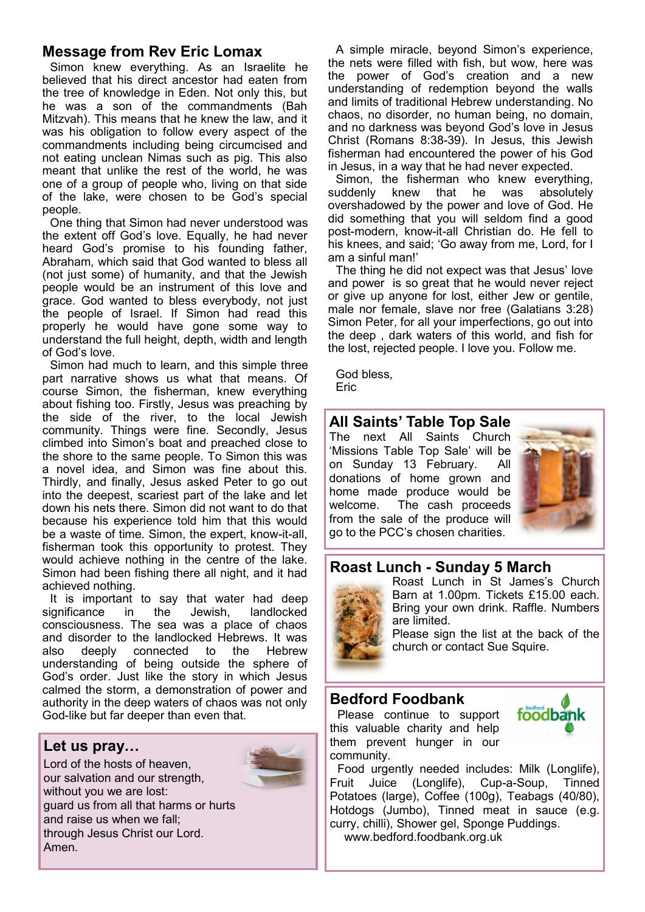# **Message from Rev Eric Lomax**

Simon knew everything. As an Israelite he believed that his direct ancestor had eaten from the tree of knowledge in Eden. Not only this, but he was a son of the commandments (Bah Mitzvah). This means that he knew the law, and it was his obligation to follow every aspect of the commandments including being circumcised and not eating unclean Nimas such as pig. This also meant that unlike the rest of the world, he was one of a group of people who, living on that side of the lake, were chosen to be God's special people.

One thing that Simon had never understood was the extent off God's love. Equally, he had never heard God's promise to his founding father, Abraham, which said that God wanted to bless all (not just some) of humanity, and that the Jewish people would be an instrument of this love and grace. God wanted to bless everybody, not just the people of Israel. If Simon had read this properly he would have gone some way to understand the full height, depth, width and length of God's love.

Simon had much to learn, and this simple three part narrative shows us what that means. Of course Simon, the fisherman, knew everything about fishing too. Firstly, Jesus was preaching by the side of the river, to the local Jewish community. Things were fine. Secondly, Jesus climbed into Simon's boat and preached close to the shore to the same people. To Simon this was a novel idea, and Simon was fine about this. Thirdly, and finally, Jesus asked Peter to go out into the deepest, scariest part of the lake and let down his nets there. Simon did not want to do that because his experience told him that this would be a waste of time. Simon, the expert, know-it-all, fisherman took this opportunity to protest. They would achieve nothing in the centre of the lake. Simon had been fishing there all night, and it had achieved nothing.

It is important to say that water had deep significance in the Jewish, landlocked consciousness. The sea was a place of chaos and disorder to the landlocked Hebrews. It was also deeply connected to the Hebrew understanding of being outside the sphere of God's order. Just like the story in which Jesus calmed the storm, a demonstration of power and authority in the deep waters of chaos was not only God-like but far deeper than even that.

#### **Let us pray…**

Lord of the hosts of heaven, our salvation and our strength, without you we are lost: guard us from all that harms or hurts and raise us when we fall; through Jesus Christ our Lord. Amen.



A simple miracle, beyond Simon's experience, the nets were filled with fish, but wow, here was the power of God's creation and a new understanding of redemption beyond the walls and limits of traditional Hebrew understanding. No chaos, no disorder, no human being, no domain, and no darkness was beyond God's love in Jesus Christ (Romans 8:38-39). In Jesus, this Jewish fisherman had encountered the power of his God in Jesus, in a way that he had never expected.

Simon, the fisherman who knew everything, suddenly knew that he was absolutely overshadowed by the power and love of God. He did something that you will seldom find a good post-modern, know-it-all Christian do. He fell to his knees, and said; 'Go away from me, Lord, for I am a sinful man!'

The thing he did not expect was that Jesus' love and power is so great that he would never reject or give up anyone for lost, either Jew or gentile, male nor female, slave nor free (Galatians 3:28) Simon Peter, for all your imperfections, go out into the deep , dark waters of this world, and fish for the lost, rejected people. I love you. Follow me.

God bless, Eric

# **All Saints' Table Top Sale**

The next All Saints Church 'Missions Table Top Sale' will be on Sunday 13 February. All donations of home grown and home made produce would be welcome. The cash proceeds from the sale of the produce will go to the PCC's chosen charities.



# **Roast Lunch - Sunday 5 March**



Roast Lunch in St James's Church Barn at 1.00pm. Tickets £15.00 each. Bring your own drink. Raffle. Numbers are limited.

Please sign the list at the back of the church or contact Sue Squire.

#### **Bedford Foodbank**

Please continue to support this valuable charity and help them prevent hunger in our community.



Food urgently needed includes: Milk (Longlife), Fruit Juice (Longlife), Cup-a-Soup, Tinned Potatoes (large), Coffee (100g), Teabags (40/80), Hotdogs (Jumbo), Tinned meat in sauce (e.g. curry, chilli), Shower gel, Sponge Puddings. www.bedford.foodbank.org.uk